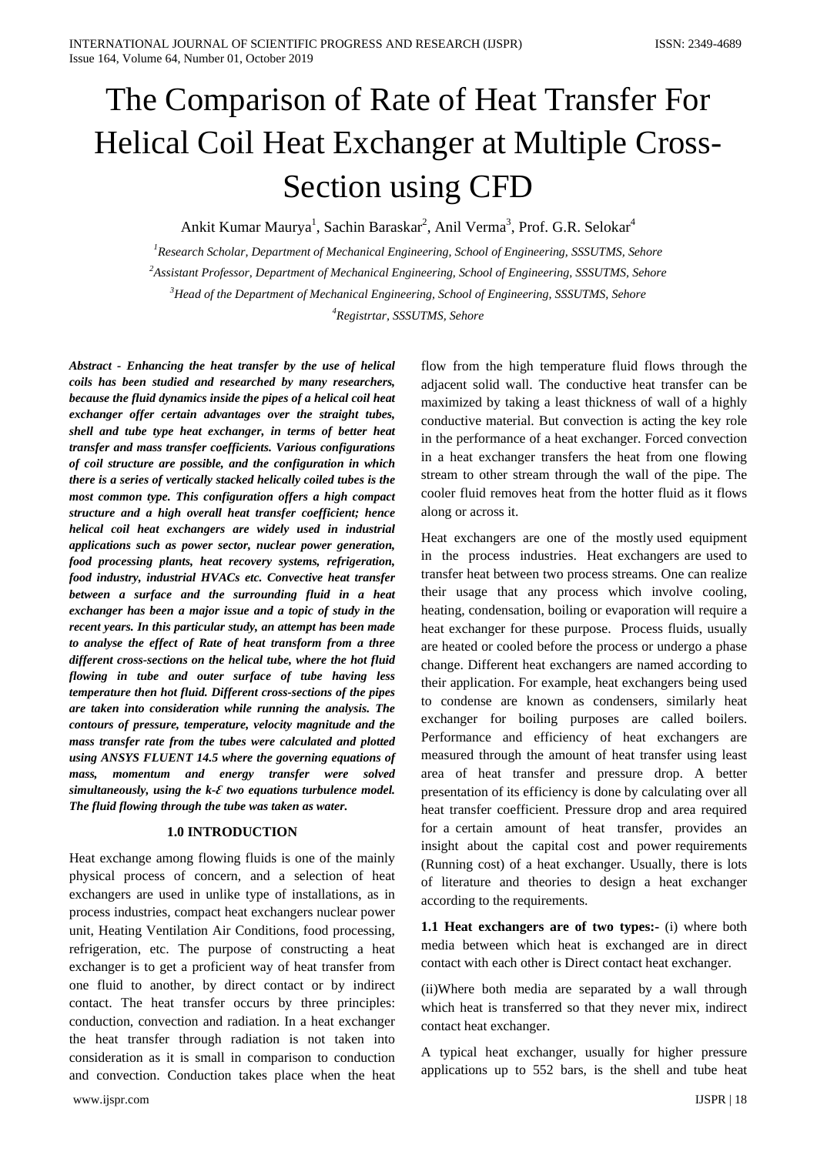# The Comparison of Rate of Heat Transfer For Helical Coil Heat Exchanger at Multiple Cross-Section using CFD

Ankit Kumar Maurya<sup>1</sup>, Sachin Baraskar<sup>2</sup>, Anil Verma<sup>3</sup>, Prof. G.R. Selokar<sup>4</sup>

 *Research Scholar, Department of Mechanical Engineering, School of Engineering, SSSUTMS, Sehore Assistant Professor, Department of Mechanical Engineering, School of Engineering, SSSUTMS, Sehore Head of the Department of Mechanical Engineering, School of Engineering, SSSUTMS, Sehore Registrtar, SSSUTMS, Sehore*

*Abstract - Enhancing the heat transfer by the use of helical coils has been studied and researched by many researchers, because the fluid dynamics inside the pipes of a helical coil heat exchanger offer certain advantages over the straight tubes, shell and tube type heat exchanger, in terms of better heat transfer and mass transfer coefficients. Various configurations of coil structure are possible, and the configuration in which there is a series of vertically stacked helically coiled tubes is the most common type. This configuration offers a high compact structure and a high overall heat transfer coefficient; hence helical coil heat exchangers are widely used in industrial applications such as power sector, nuclear power generation, food processing plants, heat recovery systems, refrigeration, food industry, industrial HVACs etc. Convective heat transfer between a surface and the surrounding fluid in a heat exchanger has been a major issue and a topic of study in the recent years. In this particular study, an attempt has been made to analyse the effect of Rate of heat transform from a three different cross-sections on the helical tube, where the hot fluid flowing in tube and outer surface of tube having less temperature then hot fluid. Different cross-sections of the pipes are taken into consideration while running the analysis. The contours of pressure, temperature, velocity magnitude and the mass transfer rate from the tubes were calculated and plotted using ANSYS FLUENT 14.5 where the governing equations of mass, momentum and energy transfer were solved simultaneously, using the k-Ԑ two equations turbulence model. The fluid flowing through the tube was taken as water.*

# **1.0 INTRODUCTION**

Heat exchange among flowing fluids is one of the mainly physical process of concern, and a selection of heat exchangers are used in unlike type of installations, as in process industries, compact heat exchangers nuclear power unit, Heating Ventilation Air Conditions, food processing, refrigeration, etc. The purpose of constructing a heat exchanger is to get a proficient way of heat transfer from one fluid to another, by direct contact or by indirect contact. The heat transfer occurs by three principles: conduction, convection and radiation. In a heat exchanger the heat transfer through radiation is not taken into consideration as it is small in comparison to conduction and convection. Conduction takes place when the heat flow from the high temperature fluid flows through the adjacent solid wall. The conductive heat transfer can be maximized by taking a least thickness of wall of a highly conductive material. But convection is acting the key role in the performance of a heat exchanger. Forced convection in a heat exchanger transfers the heat from one flowing stream to other stream through the wall of the pipe. The cooler fluid removes heat from the hotter fluid as it flows along or across it.

Heat exchangers are one of the mostly used equipment in the process industries. Heat exchangers are used to transfer heat between two process streams. One can realize their usage that any process which involve cooling, heating, condensation, boiling or evaporation will require a heat exchanger for these purpose. Process fluids, usually are heated or cooled before the process or undergo a phase change. Different heat exchangers are named according to their application. For example, heat exchangers being used to condense are known as condensers, similarly heat exchanger for boiling purposes are called boilers. Performance and efficiency of heat exchangers are measured through the amount of heat transfer using least area of heat transfer and pressure drop. A better presentation of its efficiency is done by calculating over all heat transfer coefficient. Pressure drop and area required for a certain amount of heat transfer, provides an insight about the capital cost and power requirements (Running cost) of a heat exchanger. Usually, there is lots of literature and theories to design a heat exchanger according to the requirements.

**1.1 Heat exchangers are of two types:-** (i) where both media between which heat is exchanged are in direct contact with each other is Direct contact heat exchanger.

(ii)Where both media are separated by a wall through which heat is transferred so that they never mix, indirect contact heat exchanger.

A typical heat exchanger, usually for higher pressure applications up to 552 bars, is the shell and tube heat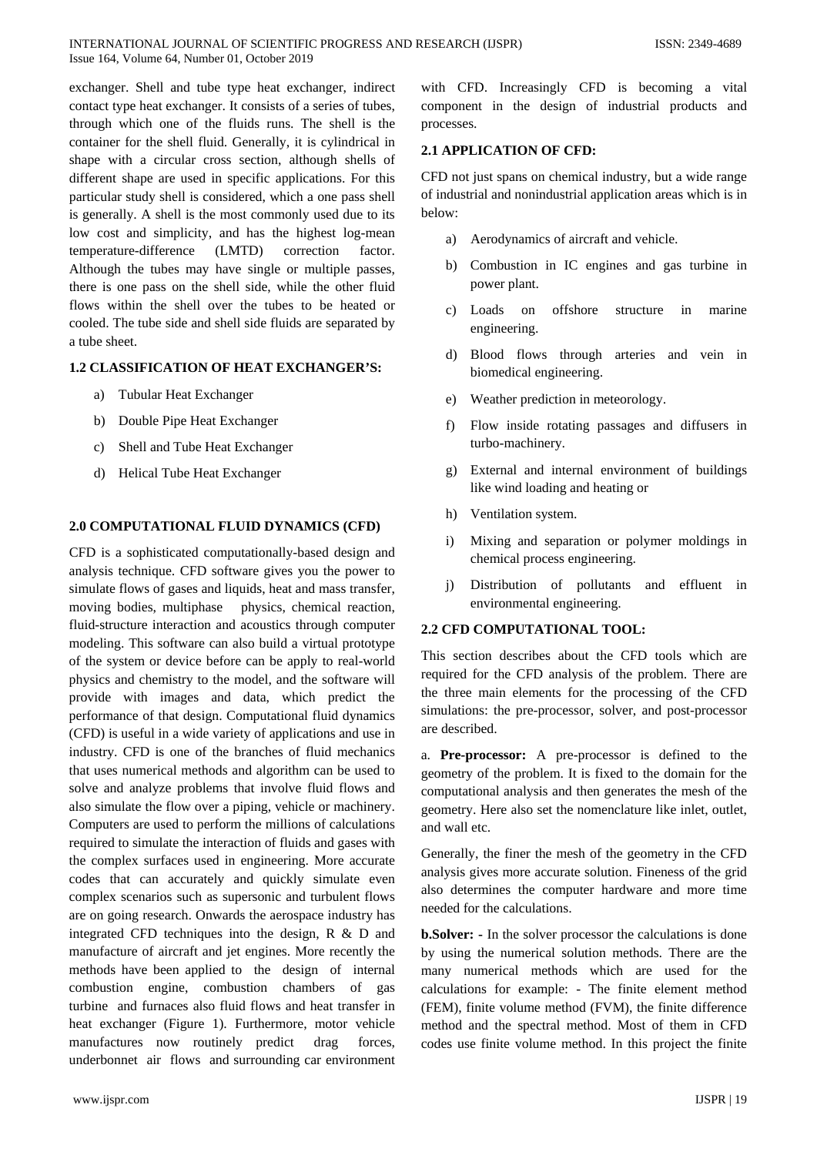exchanger. Shell and tube type heat exchanger, indirect contact type heat exchanger. It consists of a series of tubes, through which one of the fluids runs. The shell is the container for the shell fluid. Generally, it is cylindrical in shape with a circular cross section, although shells of different shape are used in specific applications. For this particular study shell is considered, which a one pass shell is generally. A shell is the most commonly used due to its low cost and simplicity, and has the highest log-mean temperature-difference (LMTD) correction factor. Although the tubes may have single or multiple passes, there is one pass on the shell side, while the other fluid flows within the shell over the tubes to be heated or cooled. The tube side and shell side fluids are separated by a tube sheet.

## **1.2 CLASSIFICATION OF HEAT EXCHANGER'S:**

- a) Tubular Heat Exchanger
- b) Double Pipe Heat Exchanger
- c) Shell and Tube Heat Exchanger
- d) Helical Tube Heat Exchanger

#### **2.0 COMPUTATIONAL FLUID DYNAMICS (CFD)**

CFD is a sophisticated computationally-based design and analysis technique. CFD software gives you the power to simulate flows of gases and liquids, heat and mass transfer, moving bodies, multiphase physics, chemical reaction, fluid-structure interaction and acoustics through computer modeling. This software can also build a virtual prototype of the system or device before can be apply to real-world physics and chemistry to the model, and the software will provide with images and data, which predict the performance of that design. Computational fluid dynamics (CFD) is useful in a wide variety of applications and use in industry. CFD is one of the branches of fluid mechanics that uses numerical methods and algorithm can be used to solve and analyze problems that involve fluid flows and also simulate the flow over a piping, vehicle or machinery. Computers are used to perform the millions of calculations required to simulate the interaction of fluids and gases with the complex surfaces used in engineering. More accurate codes that can accurately and quickly simulate even complex scenarios such as supersonic and turbulent flows are on going research. Onwards the aerospace industry has integrated CFD techniques into the design, R & D and manufacture of aircraft and jet engines. More recently the methods have been applied to the design of internal combustion engine, combustion chambers of gas turbine and furnaces also fluid flows and heat transfer in heat exchanger (Figure 1). Furthermore, motor vehicle manufactures now routinely predict drag forces, underbonnet air flows and surrounding car environment

with CFD. Increasingly CFD is becoming a vital component in the design of industrial products and processes.

# **2.1 APPLICATION OF CFD:**

CFD not just spans on chemical industry, but a wide range of industrial and nonindustrial application areas which is in below:

- a) Aerodynamics of aircraft and vehicle.
- b) Combustion in IC engines and gas turbine in power plant.
- c) Loads on offshore structure in marine engineering.
- d) Blood flows through arteries and vein in biomedical engineering.
- e) Weather prediction in meteorology.
- f) Flow inside rotating passages and diffusers in turbo-machinery.
- g) External and internal environment of buildings like wind loading and heating or
- h) Ventilation system.
- i) Mixing and separation or polymer moldings in chemical process engineering.
- j) Distribution of pollutants and effluent in environmental engineering.

# **2.2 CFD COMPUTATIONAL TOOL:**

This section describes about the CFD tools which are required for the CFD analysis of the problem. There are the three main elements for the processing of the CFD simulations: the pre-processor, solver, and post-processor are described.

a. **Pre-processor:** A pre-processor is defined to the geometry of the problem. It is fixed to the domain for the computational analysis and then generates the mesh of the geometry. Here also set the nomenclature like inlet, outlet, and wall etc.

Generally, the finer the mesh of the geometry in the CFD analysis gives more accurate solution. Fineness of the grid also determines the computer hardware and more time needed for the calculations.

**b. Solver:** - In the solver processor the calculations is done by using the numerical solution methods. There are the many numerical methods which are used for the calculations for example: - The finite element method (FEM), finite volume method (FVM), the finite difference method and the spectral method. Most of them in CFD codes use finite volume method. In this project the finite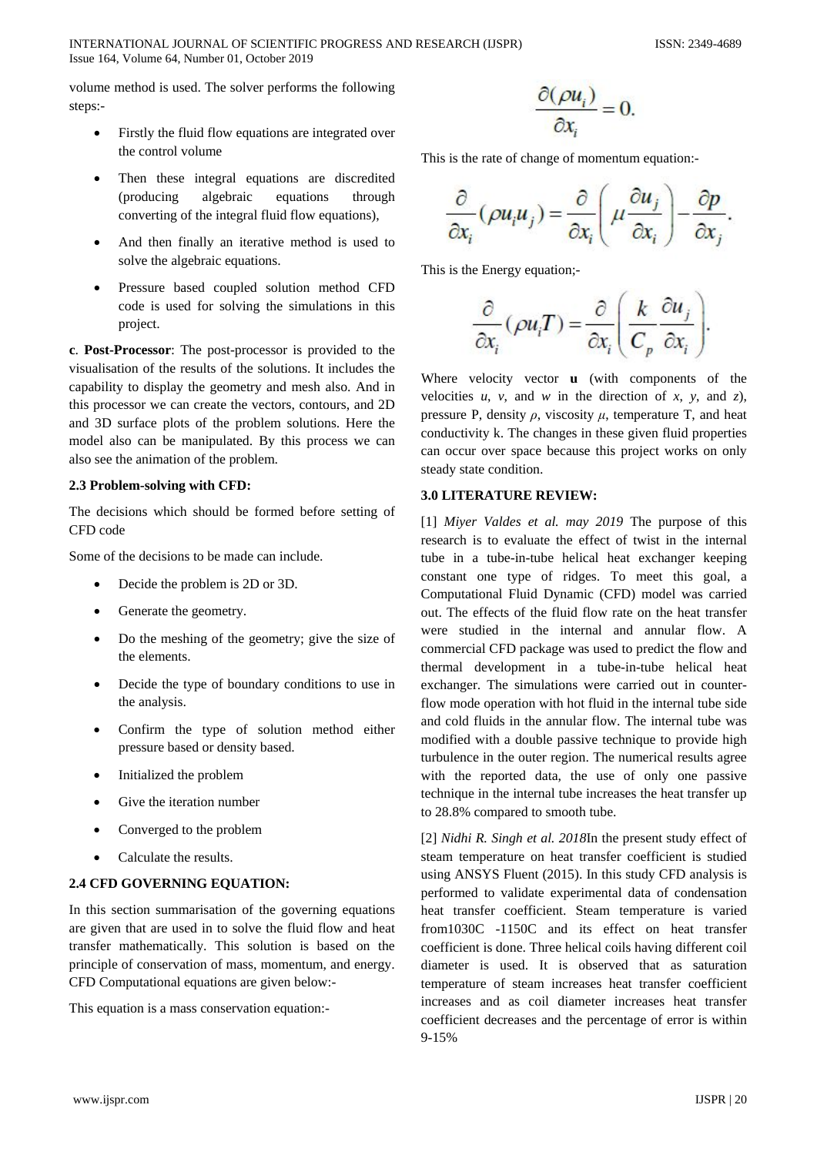INTERNATIONAL JOURNAL OF SCIENTIFIC PROGRESS AND RESEARCH (IJSPR) ISSN: 2349-4689 Issue 164, Volume 64, Number 01, October 2019

volume method is used. The solver performs the following steps:-

- Firstly the fluid flow equations are integrated over the control volume
- Then these integral equations are discredited (producing algebraic equations through converting of the integral fluid flow equations),
- And then finally an iterative method is used to solve the algebraic equations.
- Pressure based coupled solution method CFD code is used for solving the simulations in this project.

**c**. **Post-Processor**: The post-processor is provided to the visualisation of the results of the solutions. It includes the capability to display the geometry and mesh also. And in this processor we can create the vectors, contours, and 2D and 3D surface plots of the problem solutions. Here the model also can be manipulated. By this process we can also see the animation of the problem.

# **2.3 Problem-solving with CFD:**

The decisions which should be formed before setting of CFD code

Some of the decisions to be made can include.

- Decide the problem is 2D or 3D.
- Generate the geometry.
- Do the meshing of the geometry; give the size of the elements.
- Decide the type of boundary conditions to use in the analysis.
- Confirm the type of solution method either pressure based or density based.
- Initialized the problem
- Give the iteration number
- Converged to the problem
- Calculate the results.

# **2.4 CFD GOVERNING EQUATION:**

In this section summarisation of the governing equations are given that are used in to solve the fluid flow and heat transfer mathematically. This solution is based on the principle of conservation of mass, momentum, and energy. CFD Computational equations are given below:-

This equation is a mass conservation equation:-

$$
\frac{\partial(\rho u_i)}{\partial x_i} = 0.
$$

This is the rate of change of momentum equation:-

$$
\frac{\partial}{\partial x_i}(\rho u_i u_j) = \frac{\partial}{\partial x_i} \left( \mu \frac{\partial u_j}{\partial x_i} \right) - \frac{\partial p}{\partial x_j}.
$$

This is the Energy equation;-

$$
\frac{\partial}{\partial x_i}(\rho u_i T) = \frac{\partial}{\partial x_i} \left( \frac{k}{C_p} \frac{\partial u_j}{\partial x_i} \right).
$$

Where velocity vector **u** (with components of the velocities  $u$ ,  $v$ , and  $w$  in the direction of  $x$ ,  $y$ , and  $z$ ), pressure P, density  $\rho$ , viscosity  $\mu$ , temperature T, and heat conductivity k. The changes in these given fluid properties can occur over space because this project works on only steady state condition.

# **3.0 LITERATURE REVIEW:**

[1] *Miyer Valdes et al. may 2019* The purpose of this research is to evaluate the effect of twist in the internal tube in a tube-in-tube helical heat exchanger keeping constant one type of ridges. To meet this goal, a Computational Fluid Dynamic (CFD) model was carried out. The effects of the fluid flow rate on the heat transfer were studied in the internal and annular flow. A commercial CFD package was used to predict the flow and thermal development in a tube-in-tube helical heat exchanger. The simulations were carried out in counterflow mode operation with hot fluid in the internal tube side and cold fluids in the annular flow. The internal tube was modified with a double passive technique to provide high turbulence in the outer region. The numerical results agree with the reported data, the use of only one passive technique in the internal tube increases the heat transfer up to 28.8% compared to smooth tube.

[2] *Nidhi R. Singh et al. 2018*In the present study effect of steam temperature on heat transfer coefficient is studied using ANSYS Fluent (2015). In this study CFD analysis is performed to validate experimental data of condensation heat transfer coefficient. Steam temperature is varied from1030C -1150C and its effect on heat transfer coefficient is done. Three helical coils having different coil diameter is used. It is observed that as saturation temperature of steam increases heat transfer coefficient increases and as coil diameter increases heat transfer coefficient decreases and the percentage of error is within 9-15%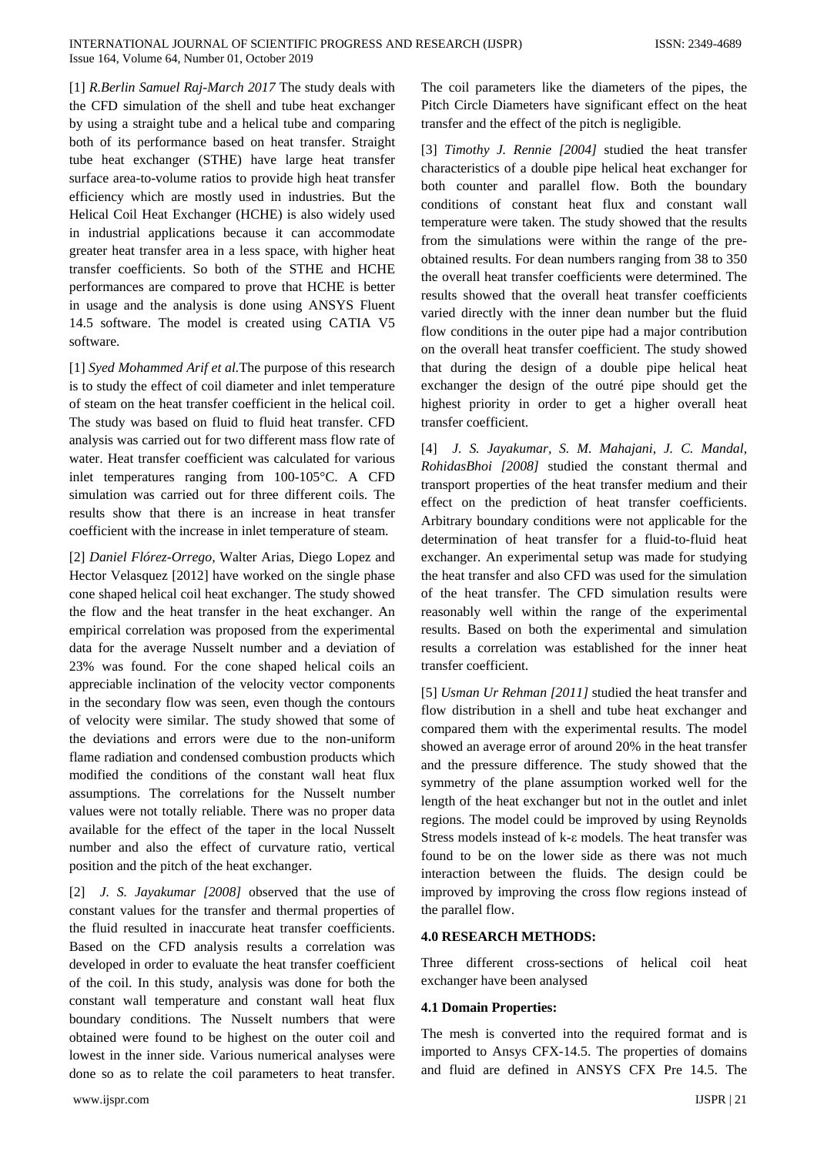[1] *R.Berlin Samuel Raj*-*March 2017* The study deals with the CFD simulation of the shell and tube heat exchanger by using a straight tube and a helical tube and comparing both of its performance based on heat transfer. Straight tube heat exchanger (STHE) have large heat transfer surface area-to-volume ratios to provide high heat transfer efficiency which are mostly used in industries. But the Helical Coil Heat Exchanger (HCHE) is also widely used in industrial applications because it can accommodate greater heat transfer area in a less space, with higher heat transfer coefficients. So both of the STHE and HCHE performances are compared to prove that HCHE is better in usage and the analysis is done using ANSYS Fluent 14.5 software. The model is created using CATIA V5 software.

[1] *Syed Mohammed Arif et al.*The purpose of this research is to study the effect of coil diameter and inlet temperature of steam on the heat transfer coefficient in the helical coil. The study was based on fluid to fluid heat transfer. CFD analysis was carried out for two different mass flow rate of water. Heat transfer coefficient was calculated for various inlet temperatures ranging from 100-105°C. A CFD simulation was carried out for three different coils. The results show that there is an increase in heat transfer coefficient with the increase in inlet temperature of steam.

[2] *Daniel Flórez-Orrego,* Walter Arias, Diego Lopez and Hector Velasquez [2012] have worked on the single phase cone shaped helical coil heat exchanger. The study showed the flow and the heat transfer in the heat exchanger. An empirical correlation was proposed from the experimental data for the average Nusselt number and a deviation of 23% was found. For the cone shaped helical coils an appreciable inclination of the velocity vector components in the secondary flow was seen, even though the contours of velocity were similar. The study showed that some of the deviations and errors were due to the non-uniform flame radiation and condensed combustion products which modified the conditions of the constant wall heat flux assumptions. The correlations for the Nusselt number values were not totally reliable. There was no proper data available for the effect of the taper in the local Nusselt number and also the effect of curvature ratio, vertical position and the pitch of the heat exchanger.

[2] *J. S. Jayakumar [2008]* observed that the use of constant values for the transfer and thermal properties of the fluid resulted in inaccurate heat transfer coefficients. Based on the CFD analysis results a correlation was developed in order to evaluate the heat transfer coefficient of the coil. In this study, analysis was done for both the constant wall temperature and constant wall heat flux boundary conditions. The Nusselt numbers that were obtained were found to be highest on the outer coil and lowest in the inner side. Various numerical analyses were done so as to relate the coil parameters to heat transfer.

www.ijspr.com IJSPR | 21

The coil parameters like the diameters of the pipes, the Pitch Circle Diameters have significant effect on the heat transfer and the effect of the pitch is negligible.

[3] *Timothy J. Rennie [2004]* studied the heat transfer characteristics of a double pipe helical heat exchanger for both counter and parallel flow. Both the boundary conditions of constant heat flux and constant wall temperature were taken. The study showed that the results from the simulations were within the range of the preobtained results. For dean numbers ranging from 38 to 350 the overall heat transfer coefficients were determined. The results showed that the overall heat transfer coefficients varied directly with the inner dean number but the fluid flow conditions in the outer pipe had a major contribution on the overall heat transfer coefficient. The study showed that during the design of a double pipe helical heat exchanger the design of the outré pipe should get the highest priority in order to get a higher overall heat transfer coefficient.

[4] *J. S. Jayakumar, S. M. Mahajani, J. C. Mandal, RohidasBhoi [2008]* studied the constant thermal and transport properties of the heat transfer medium and their effect on the prediction of heat transfer coefficients. Arbitrary boundary conditions were not applicable for the determination of heat transfer for a fluid-to-fluid heat exchanger. An experimental setup was made for studying the heat transfer and also CFD was used for the simulation of the heat transfer. The CFD simulation results were reasonably well within the range of the experimental results. Based on both the experimental and simulation results a correlation was established for the inner heat transfer coefficient.

[5] *Usman Ur Rehman [2011]* studied the heat transfer and flow distribution in a shell and tube heat exchanger and compared them with the experimental results. The model showed an average error of around 20% in the heat transfer and the pressure difference. The study showed that the symmetry of the plane assumption worked well for the length of the heat exchanger but not in the outlet and inlet regions. The model could be improved by using Reynolds Stress models instead of k-ε models. The heat transfer was found to be on the lower side as there was not much interaction between the fluids. The design could be improved by improving the cross flow regions instead of the parallel flow.

### **4.0 RESEARCH METHODS:**

Three different cross-sections of helical coil heat exchanger have been analysed

#### **4.1 Domain Properties:**

The mesh is converted into the required format and is imported to Ansys CFX-14.5. The properties of domains and fluid are defined in ANSYS CFX Pre 14.5. The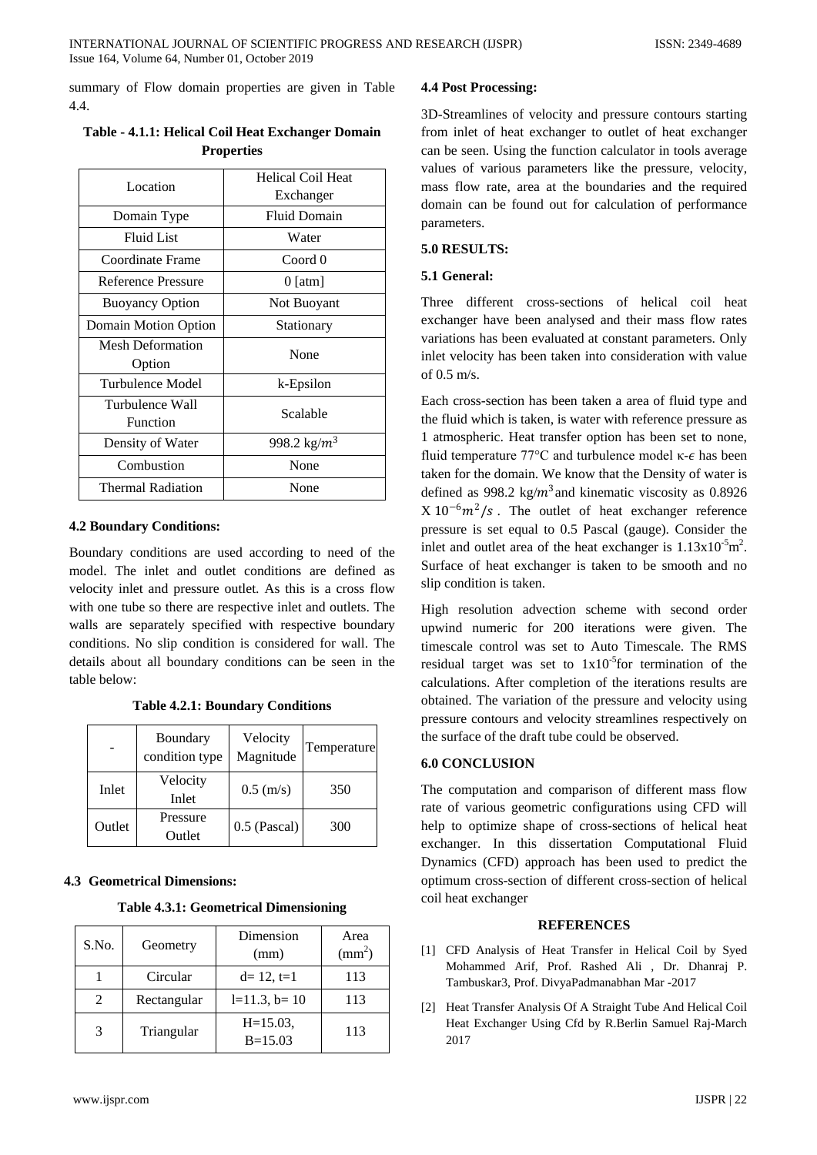summary of Flow domain properties are given in Table 4.4.

| Location                  | <b>Helical Coil Heat</b> |  |
|---------------------------|--------------------------|--|
|                           | Exchanger                |  |
| Domain Type               | <b>Fluid Domain</b>      |  |
| Fluid List                | Water                    |  |
| Coordinate Frame          | Coord 0                  |  |
| <b>Reference Pressure</b> | 0 [atm]                  |  |
| <b>Buoyancy Option</b>    | Not Buoyant              |  |
| Domain Motion Option      | Stationary               |  |
| <b>Mesh Deformation</b>   | None                     |  |
| Option                    |                          |  |
| Turbulence Model          | k-Epsilon                |  |
| Turbulence Wall           | Scalable                 |  |
| Function                  |                          |  |
| Density of Water          | 998.2 kg/ $m^3$          |  |
| Combustion                | None                     |  |
| <b>Thermal Radiation</b>  | None                     |  |

**Table - 4.1.1: Helical Coil Heat Exchanger Domain Properties**

# **4.2 Boundary Conditions:**

Boundary conditions are used according to need of the model. The inlet and outlet conditions are defined as velocity inlet and pressure outlet. As this is a cross flow with one tube so there are respective inlet and outlets. The walls are separately specified with respective boundary conditions. No slip condition is considered for wall. The details about all boundary conditions can be seen in the table below:

**Table 4.2.1: Boundary Conditions**

|        | Boundary<br>condition type | Velocity<br>Magnitude | Temperature |
|--------|----------------------------|-----------------------|-------------|
| Inlet  | Velocity<br>Inlet          | $0.5$ (m/s)           | 350         |
| Outlet | Pressure<br>Outlet         | 0.5 (Pascal)          | 300         |

# **4.3 Geometrical Dimensions:**

**Table 4.3.1: Geometrical Dimensioning**

| S.No.         | Geometry    | Dimension<br>(mm)          | Area<br>$\text{(mm}^2)$ |
|---------------|-------------|----------------------------|-------------------------|
|               | Circular    | $d=12$ , $t=1$             | 113                     |
| $\mathcal{L}$ | Rectangular | $l=11.3$ , $b=10$          | 113                     |
| 3             | Triangular  | $H = 15.03$ ,<br>$B=15.03$ | 113                     |

# **4.4 Post Processing:**

3D-Streamlines of velocity and pressure contours starting from inlet of heat exchanger to outlet of heat exchanger can be seen. Using the function calculator in tools average values of various parameters like the pressure, velocity, mass flow rate, area at the boundaries and the required domain can be found out for calculation of performance parameters.

# **5.0 RESULTS:**

# **5.1 General:**

Three different cross-sections of helical coil heat exchanger have been analysed and their mass flow rates variations has been evaluated at constant parameters. Only inlet velocity has been taken into consideration with value of  $0.5$  m/s.

Each cross-section has been taken a area of fluid type and the fluid which is taken, is water with reference pressure as 1 atmospheric. Heat transfer option has been set to none, fluid temperature 77 $°C$  and turbulence model κ- $ε$  has been taken for the domain. We know that the Density of water is defined as 998.2 kg/ $m^3$ and kinematic viscosity as 0.8926  $X 10^{-6} m^2/s$ . The outlet of heat exchanger reference pressure is set equal to 0.5 Pascal (gauge). Consider the inlet and outlet area of the heat exchanger is  $1.13 \times 10^{-5}$ m<sup>2</sup>. Surface of heat exchanger is taken to be smooth and no slip condition is taken.

High resolution advection scheme with second order upwind numeric for 200 iterations were given. The timescale control was set to Auto Timescale. The RMS residual target was set to  $1x10^{-5}$  for termination of the calculations. After completion of the iterations results are obtained. The variation of the pressure and velocity using pressure contours and velocity streamlines respectively on the surface of the draft tube could be observed.

# **6.0 CONCLUSION**

The computation and comparison of different mass flow rate of various geometric configurations using CFD will help to optimize shape of cross-sections of helical heat exchanger. In this dissertation Computational Fluid Dynamics (CFD) approach has been used to predict the optimum cross-section of different cross-section of helical coil heat exchanger

# **REFERENCES**

- [1] CFD Analysis of Heat Transfer in Helical Coil by Syed Mohammed Arif, Prof. Rashed Ali , Dr. Dhanraj P. Tambuskar3, Prof. DivyaPadmanabhan Mar -2017
- [2] Heat Transfer Analysis Of A Straight Tube And Helical Coil Heat Exchanger Using Cfd by R.Berlin Samuel Raj-March 2017